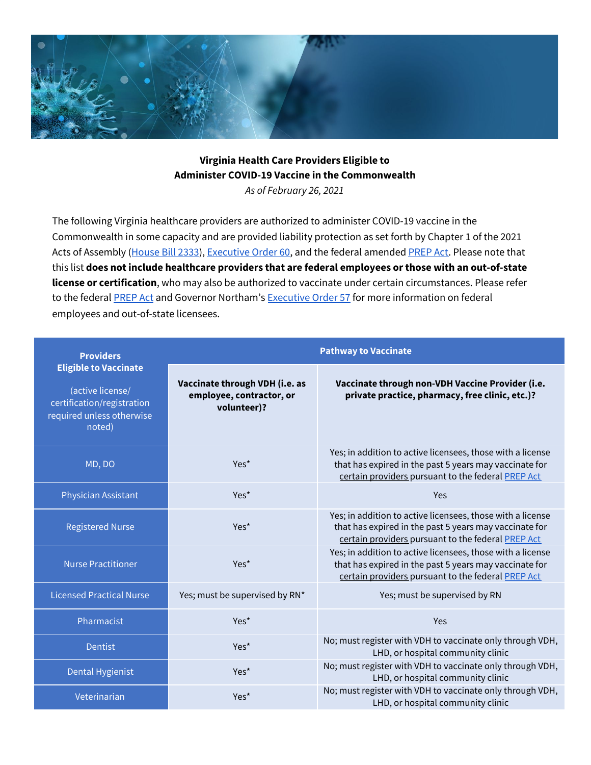

## **Virginia Health Care Providers Eligible to Administer COVID-19 Vaccine in the Commonwealth** *As of February 26, 2021*

The following Virginia healthcare providers are authorized to administer COVID-19 vaccine in the Commonwealth in some capacity and are provided liability protection as set forth by Chapter 1 of the 2021 Acts of Assembly [\(House](https://lis.virginia.gov/cgi-bin/legp604.exe?211+ful+CHAP0001+pdf) Bill 2333), [Executive](https://www.governor.virginia.gov/media/governorvirginiagov/executive-actions/EO-60-AMENDED---Further-Clarification-of-Certain-Immunity-From-Liability-For-Healthcare-Providers-in-Response-to-Novel-Coronavirus-(COVID-19).pdf) Order 60, and the federal amended [PREP](https://www.hhs.gov/about/news/2021/01/28/hhs-amends-prep-act-declaration-increase-workforce-authorized-administer-covid-19-vaccines.html) Act. Please note that this list **does not include healthcare providers that are federal employees or those with an out-of-state license or certification**, who may also be authorized to vaccinate under certain circumstances. Please refer [t](https://www.phe.gov/Preparedness/legal/prepact/Pages/prepqa.aspx)o the federal **[PREP](https://www.phe.gov/Preparedness/legal/prepact/Pages/prepqa.aspx) Act** and Governor Northam's **[Executive](https://www.governor.virginia.gov/executive-actions/) Order 57** for more information on federal employees and out-of-state licensees.

| <b>Providers</b>                                                                                                      | <b>Pathway to Vaccinate</b>                                               |                                                                                                                                                                            |  |
|-----------------------------------------------------------------------------------------------------------------------|---------------------------------------------------------------------------|----------------------------------------------------------------------------------------------------------------------------------------------------------------------------|--|
| <b>Eligible to Vaccinate</b><br>(active license/<br>certification/registration<br>required unless otherwise<br>noted) | Vaccinate through VDH (i.e. as<br>employee, contractor, or<br>volunteer)? | Vaccinate through non-VDH Vaccine Provider (i.e.<br>private practice, pharmacy, free clinic, etc.)?                                                                        |  |
| MD, DO                                                                                                                | Yes <sup>*</sup>                                                          | Yes; in addition to active licensees, those with a license<br>that has expired in the past 5 years may vaccinate for<br>certain providers pursuant to the federal PREP Act |  |
| Physician Assistant                                                                                                   | Yes*                                                                      | Yes                                                                                                                                                                        |  |
| <b>Registered Nurse</b>                                                                                               | Yes*                                                                      | Yes; in addition to active licensees, those with a license<br>that has expired in the past 5 years may vaccinate for<br>certain providers pursuant to the federal PREP Act |  |
| <b>Nurse Practitioner</b>                                                                                             | Yes <sup>*</sup>                                                          | Yes; in addition to active licensees, those with a license<br>that has expired in the past 5 years may vaccinate for<br>certain providers pursuant to the federal PREP Act |  |
| <b>Licensed Practical Nurse</b>                                                                                       | Yes; must be supervised by RN*                                            | Yes; must be supervised by RN                                                                                                                                              |  |
| Pharmacist                                                                                                            | Yes <sup>*</sup>                                                          | Yes                                                                                                                                                                        |  |
| <b>Dentist</b>                                                                                                        | Yes*                                                                      | No; must register with VDH to vaccinate only through VDH,<br>LHD, or hospital community clinic                                                                             |  |
| <b>Dental Hygienist</b>                                                                                               | Yes*                                                                      | No; must register with VDH to vaccinate only through VDH,<br>LHD, or hospital community clinic                                                                             |  |
| Veterinarian                                                                                                          | Yes*                                                                      | No; must register with VDH to vaccinate only through VDH,<br>LHD, or hospital community clinic                                                                             |  |